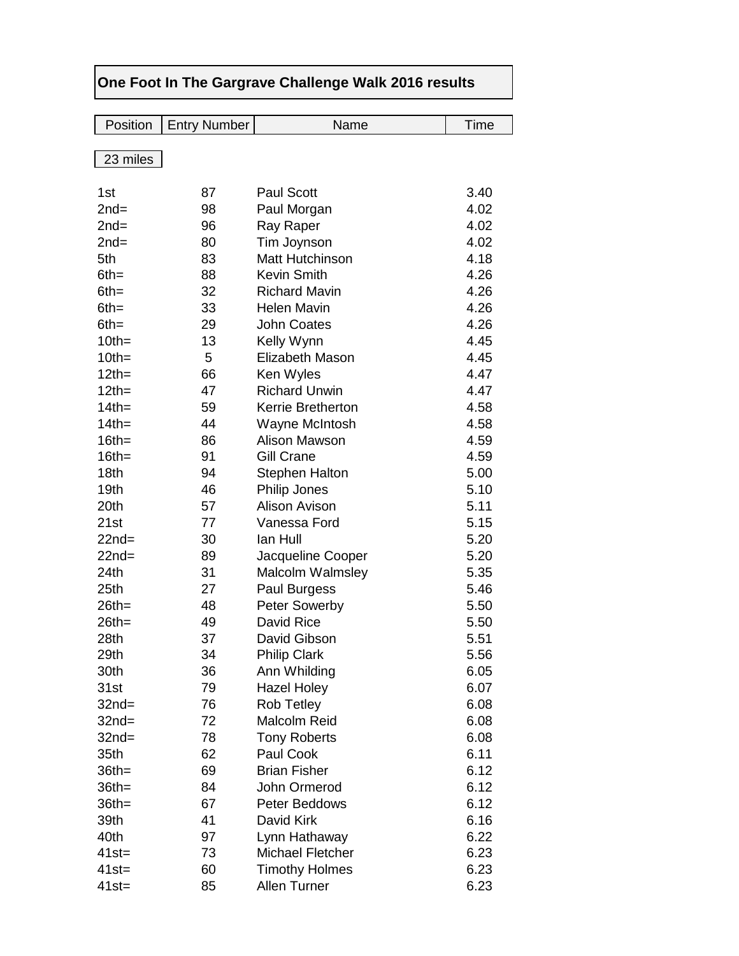| One Foot In The Gargrave Challenge Walk 2016 results |                     |                          |      |  |
|------------------------------------------------------|---------------------|--------------------------|------|--|
| Position                                             | <b>Entry Number</b> | Name                     | Time |  |
|                                                      |                     |                          |      |  |
| 23 miles                                             |                     |                          |      |  |
| 1st                                                  | 87                  | <b>Paul Scott</b>        | 3.40 |  |
| $2nd=$                                               | 98                  | Paul Morgan              | 4.02 |  |
| $2nd=$                                               | 96                  | Ray Raper                | 4.02 |  |
| $2nd=$                                               | 80                  | Tim Joynson              | 4.02 |  |
| 5th                                                  | 83                  | <b>Matt Hutchinson</b>   | 4.18 |  |
| $6th =$                                              | 88                  | <b>Kevin Smith</b>       | 4.26 |  |
| $6th =$                                              | 32                  | <b>Richard Mavin</b>     | 4.26 |  |
| $6th =$                                              | 33                  | <b>Helen Mavin</b>       | 4.26 |  |
| $6th =$                                              | 29                  | <b>John Coates</b>       | 4.26 |  |
| $10th =$                                             | 13                  | Kelly Wynn               | 4.45 |  |
| $10th =$                                             | 5                   | <b>Elizabeth Mason</b>   | 4.45 |  |
| $12$ th=                                             | 66                  | Ken Wyles                | 4.47 |  |
| $12$ th=                                             | 47                  | <b>Richard Unwin</b>     | 4.47 |  |
| $14$ th=                                             | 59                  | <b>Kerrie Bretherton</b> | 4.58 |  |
| $14$ th=                                             | 44                  | Wayne McIntosh           | 4.58 |  |
| $16th =$                                             | 86                  | <b>Alison Mawson</b>     | 4.59 |  |
| $16th =$                                             | 91                  | <b>Gill Crane</b>        | 4.59 |  |
| 18th                                                 | 94                  | <b>Stephen Halton</b>    | 5.00 |  |
| 19th                                                 | 46                  | <b>Philip Jones</b>      | 5.10 |  |
| 20th                                                 | 57                  | <b>Alison Avison</b>     | 5.11 |  |
| 21st                                                 | 77                  | Vanessa Ford             | 5.15 |  |
| $22nd=$                                              | 30                  | Ian Hull                 | 5.20 |  |
| $22nd=$                                              | 89                  | Jacqueline Cooper        | 5.20 |  |
| 24th                                                 | 31                  | Malcolm Walmsley         | 5.35 |  |
| 25th                                                 | 27                  | Paul Burgess             | 5.46 |  |
| $26th =$                                             | 48                  | <b>Peter Sowerby</b>     | 5.50 |  |
| $26th =$                                             | 49                  | <b>David Rice</b>        | 5.50 |  |
| 28th                                                 | 37                  | David Gibson             | 5.51 |  |
| 29th                                                 | 34                  | <b>Philip Clark</b>      | 5.56 |  |
| 30th                                                 | 36                  | Ann Whilding             | 6.05 |  |
| 31st                                                 | 79                  | <b>Hazel Holey</b>       | 6.07 |  |
| $32nd=$                                              | 76                  | <b>Rob Tetley</b>        | 6.08 |  |
| $32nd=$                                              | 72                  | Malcolm Reid             | 6.08 |  |
| $32nd =$                                             | 78                  | <b>Tony Roberts</b>      | 6.08 |  |
| 35th                                                 | 62                  | Paul Cook                | 6.11 |  |
| $36th =$                                             | 69                  | <b>Brian Fisher</b>      | 6.12 |  |
| $36th =$                                             | 84                  | John Ormerod             | 6.12 |  |
| $36th =$                                             | 67                  | Peter Beddows            | 6.12 |  |
| 39th                                                 | 41                  | David Kirk               | 6.16 |  |
| 40th                                                 | 97                  | Lynn Hathaway            | 6.22 |  |
| $41st =$                                             | 73                  | <b>Michael Fletcher</b>  | 6.23 |  |
| $41st =$                                             | 60                  | <b>Timothy Holmes</b>    | 6.23 |  |
| $41st =$                                             | 85                  | <b>Allen Turner</b>      | 6.23 |  |

 $\Gamma$